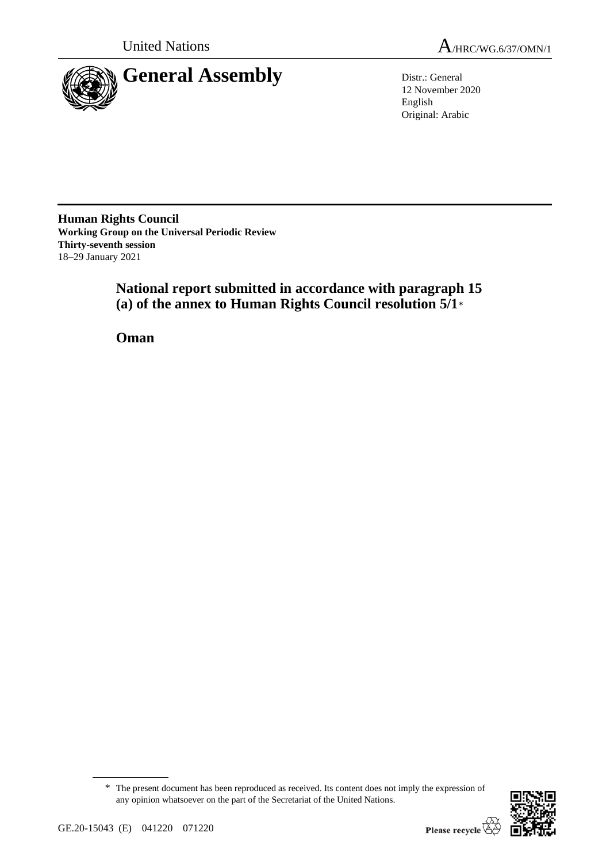

12 November 2020 English Original: Arabic

**Human Rights Council Working Group on the Universal Periodic Review Thirty-seventh session** 18–29 January 2021

> **National report submitted in accordance with paragraph 15 (a) of the annex to Human Rights Council resolution 5/1**\*

**Oman**

<sup>\*</sup> The present document has been reproduced as received. Its content does not imply the expression of any opinion whatsoever on the part of the Secretariat of the United Nations.

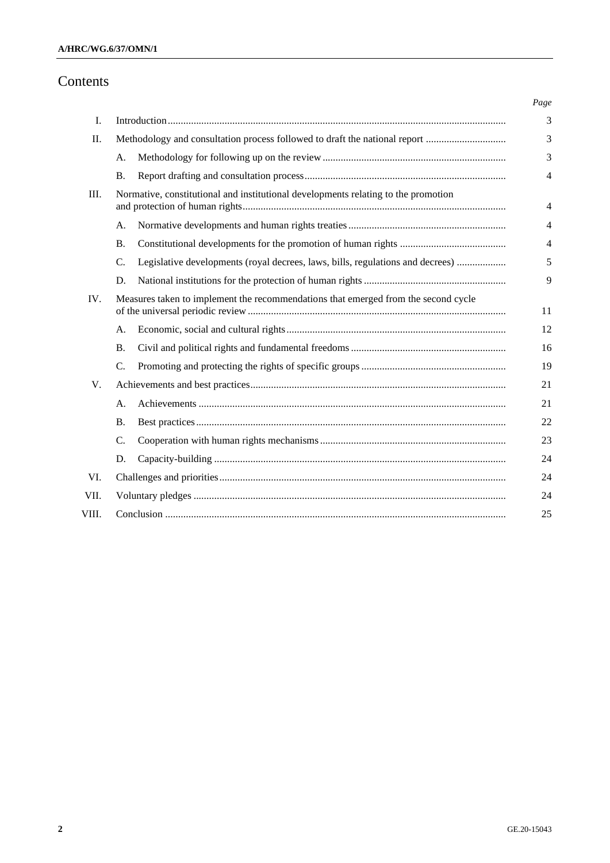# Contents

| Ι.    |                                                                                    |                                                                                |
|-------|------------------------------------------------------------------------------------|--------------------------------------------------------------------------------|
| II.   | Methodology and consultation process followed to draft the national report         |                                                                                |
|       | А.                                                                                 |                                                                                |
|       | <b>B.</b>                                                                          |                                                                                |
| Ш.    | Normative, constitutional and institutional developments relating to the promotion |                                                                                |
|       | A.                                                                                 |                                                                                |
|       | <b>B.</b>                                                                          |                                                                                |
|       | $\mathcal{C}$ .                                                                    | Legislative developments (royal decrees, laws, bills, regulations and decrees) |
|       | D.                                                                                 |                                                                                |
| IV.   | Measures taken to implement the recommendations that emerged from the second cycle |                                                                                |
|       | A.                                                                                 |                                                                                |
|       | <b>B.</b>                                                                          |                                                                                |
|       | $\mathcal{C}$ .                                                                    |                                                                                |
| V.    |                                                                                    |                                                                                |
|       | A.                                                                                 |                                                                                |
|       | <b>B.</b>                                                                          |                                                                                |
|       | C.                                                                                 |                                                                                |
|       | D.                                                                                 |                                                                                |
| VI.   |                                                                                    |                                                                                |
| VII.  |                                                                                    |                                                                                |
| VIII. |                                                                                    |                                                                                |
|       |                                                                                    |                                                                                |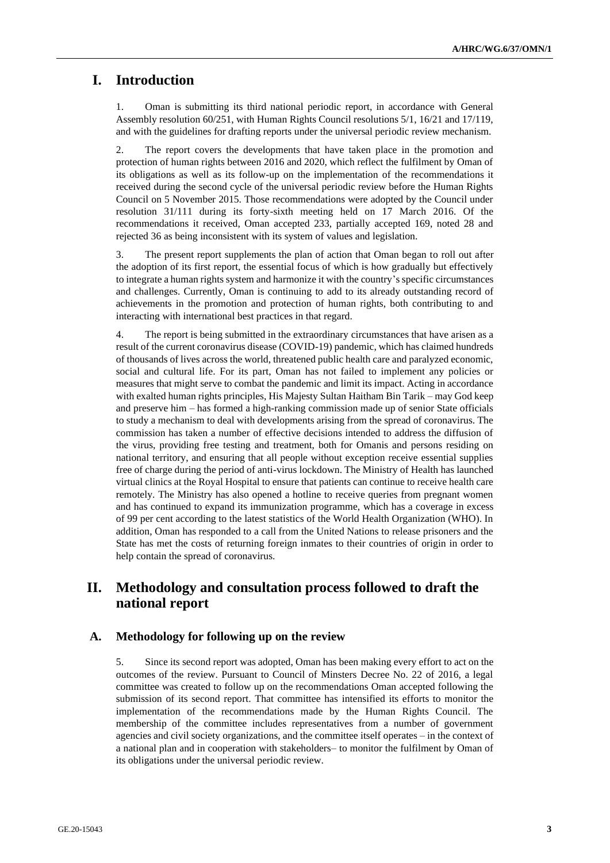# **I. Introduction**

1. Oman is submitting its third national periodic report, in accordance with General Assembly resolution 60/251, with Human Rights Council resolutions 5/1, 16/21 and 17/119, and with the guidelines for drafting reports under the universal periodic review mechanism.

2. The report covers the developments that have taken place in the promotion and protection of human rights between 2016 and 2020, which reflect the fulfilment by Oman of its obligations as well as its follow-up on the implementation of the recommendations it received during the second cycle of the universal periodic review before the Human Rights Council on 5 November 2015. Those recommendations were adopted by the Council under resolution 31/111 during its forty-sixth meeting held on 17 March 2016. Of the recommendations it received, Oman accepted 233, partially accepted 169, noted 28 and rejected 36 as being inconsistent with its system of values and legislation.

3. The present report supplements the plan of action that Oman began to roll out after the adoption of its first report, the essential focus of which is how gradually but effectively to integrate a human rights system and harmonize it with the country's specific circumstances and challenges. Currently, Oman is continuing to add to its already outstanding record of achievements in the promotion and protection of human rights, both contributing to and interacting with international best practices in that regard.

4. The report is being submitted in the extraordinary circumstances that have arisen as a result of the current coronavirus disease (COVID-19) pandemic, which has claimed hundreds of thousands of lives across the world, threatened public health care and paralyzed economic, social and cultural life. For its part, Oman has not failed to implement any policies or measures that might serve to combat the pandemic and limit its impact. Acting in accordance with exalted human rights principles, His Majesty Sultan Haitham Bin Tarik – may God keep and preserve him – has formed a high-ranking commission made up of senior State officials to study a mechanism to deal with developments arising from the spread of coronavirus. The commission has taken a number of effective decisions intended to address the diffusion of the virus, providing free testing and treatment, both for Omanis and persons residing on national territory, and ensuring that all people without exception receive essential supplies free of charge during the period of anti-virus lockdown. The Ministry of Health has launched virtual clinics at the Royal Hospital to ensure that patients can continue to receive health care remotely. The Ministry has also opened a hotline to receive queries from pregnant women and has continued to expand its immunization programme, which has a coverage in excess of 99 per cent according to the latest statistics of the World Health Organization (WHO). In addition, Oman has responded to a call from the United Nations to release prisoners and the State has met the costs of returning foreign inmates to their countries of origin in order to help contain the spread of coronavirus.

# **II. Methodology and consultation process followed to draft the national report**

# **A. Methodology for following up on the review**

5. Since its second report was adopted, Oman has been making every effort to act on the outcomes of the review. Pursuant to Council of Minsters Decree No. 22 of 2016, a legal committee was created to follow up on the recommendations Oman accepted following the submission of its second report. That committee has intensified its efforts to monitor the implementation of the recommendations made by the Human Rights Council. The membership of the committee includes representatives from a number of government agencies and civil society organizations, and the committee itself operates – in the context of a national plan and in cooperation with stakeholders– to monitor the fulfilment by Oman of its obligations under the universal periodic review.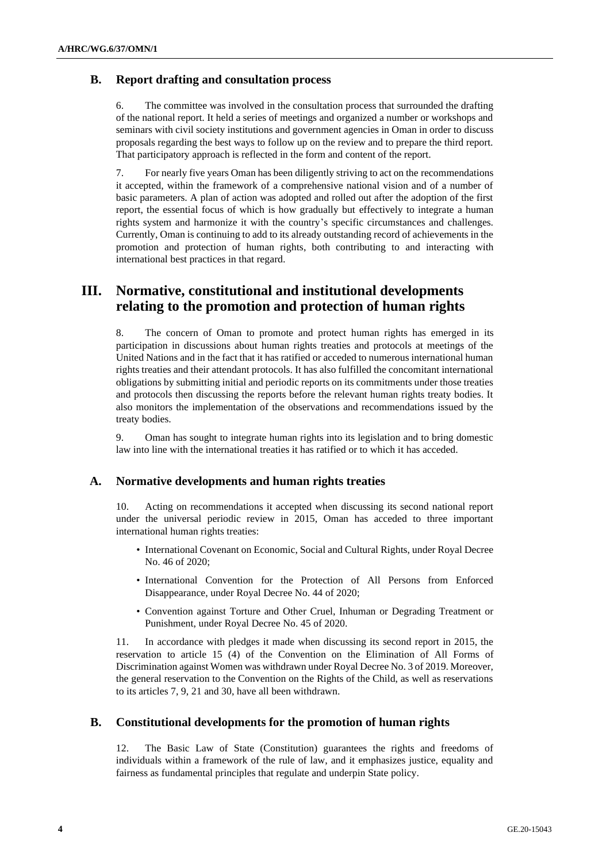# **B. Report drafting and consultation process**

6. The committee was involved in the consultation process that surrounded the drafting of the national report. It held a series of meetings and organized a number or workshops and seminars with civil society institutions and government agencies in Oman in order to discuss proposals regarding the best ways to follow up on the review and to prepare the third report. That participatory approach is reflected in the form and content of the report.

7. For nearly five years Oman has been diligently striving to act on the recommendations it accepted, within the framework of a comprehensive national vision and of a number of basic parameters. A plan of action was adopted and rolled out after the adoption of the first report, the essential focus of which is how gradually but effectively to integrate a human rights system and harmonize it with the country's specific circumstances and challenges. Currently, Oman is continuing to add to its already outstanding record of achievements in the promotion and protection of human rights, both contributing to and interacting with international best practices in that regard.

# **III. Normative, constitutional and institutional developments relating to the promotion and protection of human rights**

8. The concern of Oman to promote and protect human rights has emerged in its participation in discussions about human rights treaties and protocols at meetings of the United Nations and in the fact that it has ratified or acceded to numerous international human rights treaties and their attendant protocols. It has also fulfilled the concomitant international obligations by submitting initial and periodic reports on its commitments under those treaties and protocols then discussing the reports before the relevant human rights treaty bodies. It also monitors the implementation of the observations and recommendations issued by the treaty bodies.

9. Oman has sought to integrate human rights into its legislation and to bring domestic law into line with the international treaties it has ratified or to which it has acceded.

# **A. Normative developments and human rights treaties**

10. Acting on recommendations it accepted when discussing its second national report under the universal periodic review in 2015, Oman has acceded to three important international human rights treaties:

- International Covenant on Economic, Social and Cultural Rights, under Royal Decree No. 46 of 2020;
- International Convention for the Protection of All Persons from Enforced Disappearance, under Royal Decree No. 44 of 2020;
- Convention against Torture and Other Cruel, Inhuman or Degrading Treatment or Punishment, under Royal Decree No. 45 of 2020.

11. In accordance with pledges it made when discussing its second report in 2015, the reservation to article 15 (4) of the Convention on the Elimination of All Forms of Discrimination against Women was withdrawn under Royal Decree No. 3 of 2019. Moreover, the general reservation to the Convention on the Rights of the Child, as well as reservations to its articles 7, 9, 21 and 30, have all been withdrawn.

# **B. Constitutional developments for the promotion of human rights**

12. The Basic Law of State (Constitution) guarantees the rights and freedoms of individuals within a framework of the rule of law, and it emphasizes justice, equality and fairness as fundamental principles that regulate and underpin State policy.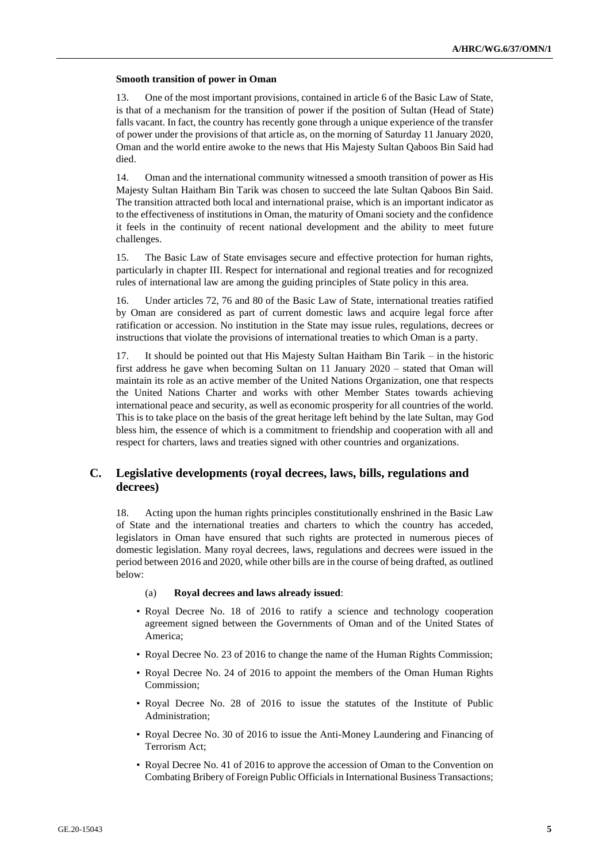#### **Smooth transition of power in Oman**

13. One of the most important provisions, contained in article 6 of the Basic Law of State, is that of a mechanism for the transition of power if the position of Sultan (Head of State) falls vacant. In fact, the country has recently gone through a unique experience of the transfer of power under the provisions of that article as, on the morning of Saturday 11 January 2020, Oman and the world entire awoke to the news that His Majesty Sultan Qaboos Bin Said had died.

14. Oman and the international community witnessed a smooth transition of power as His Majesty Sultan Haitham Bin Tarik was chosen to succeed the late Sultan Qaboos Bin Said. The transition attracted both local and international praise, which is an important indicator as to the effectiveness of institutions in Oman, the maturity of Omani society and the confidence it feels in the continuity of recent national development and the ability to meet future challenges.

15. The Basic Law of State envisages secure and effective protection for human rights, particularly in chapter III. Respect for international and regional treaties and for recognized rules of international law are among the guiding principles of State policy in this area.

16. Under articles 72, 76 and 80 of the Basic Law of State, international treaties ratified by Oman are considered as part of current domestic laws and acquire legal force after ratification or accession. No institution in the State may issue rules, regulations, decrees or instructions that violate the provisions of international treaties to which Oman is a party.

17. It should be pointed out that His Majesty Sultan Haitham Bin Tarik – in the historic first address he gave when becoming Sultan on 11 January 2020 – stated that Oman will maintain its role as an active member of the United Nations Organization, one that respects the United Nations Charter and works with other Member States towards achieving international peace and security, as well as economic prosperity for all countries of the world. This is to take place on the basis of the great heritage left behind by the late Sultan, may God bless him, the essence of which is a commitment to friendship and cooperation with all and respect for charters, laws and treaties signed with other countries and organizations.

# **C. Legislative developments (royal decrees, laws, bills, regulations and decrees)**

18. Acting upon the human rights principles constitutionally enshrined in the Basic Law of State and the international treaties and charters to which the country has acceded, legislators in Oman have ensured that such rights are protected in numerous pieces of domestic legislation. Many royal decrees, laws, regulations and decrees were issued in the period between 2016 and 2020, while other bills are in the course of being drafted, as outlined below:

#### (a) **Royal decrees and laws already issued**:

- Royal Decree No. 18 of 2016 to ratify a science and technology cooperation agreement signed between the Governments of Oman and of the United States of America;
- Royal Decree No. 23 of 2016 to change the name of the Human Rights Commission;
- Royal Decree No. 24 of 2016 to appoint the members of the Oman Human Rights Commission;
- Royal Decree No. 28 of 2016 to issue the statutes of the Institute of Public Administration;
- Royal Decree No. 30 of 2016 to issue the Anti-Money Laundering and Financing of Terrorism Act;
- Royal Decree No. 41 of 2016 to approve the accession of Oman to the Convention on Combating Bribery of Foreign Public Officials in International Business Transactions;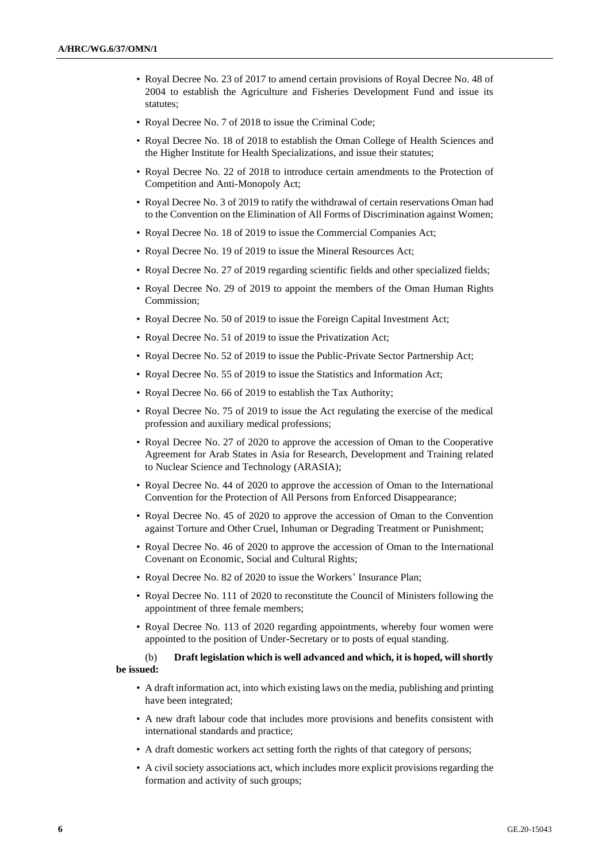- Royal Decree No. 23 of 2017 to amend certain provisions of Royal Decree No. 48 of 2004 to establish the Agriculture and Fisheries Development Fund and issue its statutes;
- Royal Decree No. 7 of 2018 to issue the Criminal Code;
- Royal Decree No. 18 of 2018 to establish the Oman College of Health Sciences and the Higher Institute for Health Specializations, and issue their statutes;
- Royal Decree No. 22 of 2018 to introduce certain amendments to the Protection of Competition and Anti-Monopoly Act;
- Royal Decree No. 3 of 2019 to ratify the withdrawal of certain reservations Oman had to the Convention on the Elimination of All Forms of Discrimination against Women;
- Royal Decree No. 18 of 2019 to issue the Commercial Companies Act;
- Royal Decree No. 19 of 2019 to issue the Mineral Resources Act;
- Royal Decree No. 27 of 2019 regarding scientific fields and other specialized fields;
- Royal Decree No. 29 of 2019 to appoint the members of the Oman Human Rights Commission;
- Royal Decree No. 50 of 2019 to issue the Foreign Capital Investment Act;
- Royal Decree No. 51 of 2019 to issue the Privatization Act;
- Royal Decree No. 52 of 2019 to issue the Public-Private Sector Partnership Act;
- Royal Decree No. 55 of 2019 to issue the Statistics and Information Act;
- Royal Decree No. 66 of 2019 to establish the Tax Authority;
- Royal Decree No. 75 of 2019 to issue the Act regulating the exercise of the medical profession and auxiliary medical professions;
- Royal Decree No. 27 of 2020 to approve the accession of Oman to the Cooperative Agreement for Arab States in Asia for Research, Development and Training related to Nuclear Science and Technology (ARASIA);
- Royal Decree No. 44 of 2020 to approve the accession of Oman to the International Convention for the Protection of All Persons from Enforced Disappearance;
- Royal Decree No. 45 of 2020 to approve the accession of Oman to the Convention against Torture and Other Cruel, Inhuman or Degrading Treatment or Punishment;
- Royal Decree No. 46 of 2020 to approve the accession of Oman to the International Covenant on Economic, Social and Cultural Rights;
- Royal Decree No. 82 of 2020 to issue the Workers' Insurance Plan;
- Royal Decree No. 111 of 2020 to reconstitute the Council of Ministers following the appointment of three female members;
- Royal Decree No. 113 of 2020 regarding appointments, whereby four women were appointed to the position of Under-Secretary or to posts of equal standing.

### (b) **Draft legislation which is well advanced and which, it is hoped, will shortly be issued:**

- A draft information act, into which existing laws on the media, publishing and printing have been integrated;
- A new draft labour code that includes more provisions and benefits consistent with international standards and practice;
- A draft domestic workers act setting forth the rights of that category of persons;
- A civil society associations act, which includes more explicit provisions regarding the formation and activity of such groups;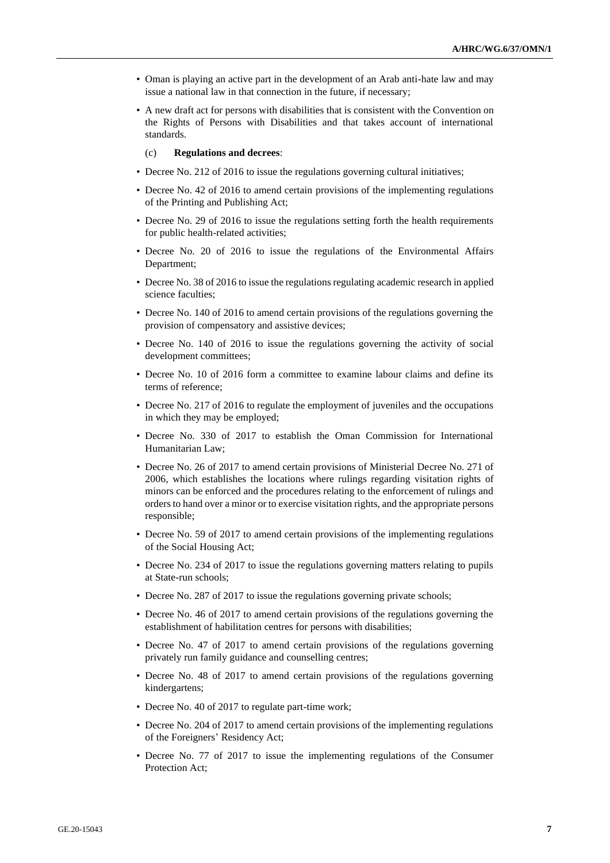- Oman is playing an active part in the development of an Arab anti-hate law and may issue a national law in that connection in the future, if necessary;
- A new draft act for persons with disabilities that is consistent with the Convention on the Rights of Persons with Disabilities and that takes account of international standards.

(c) **Regulations and decrees**:

- Decree No. 212 of 2016 to issue the regulations governing cultural initiatives;
- Decree No. 42 of 2016 to amend certain provisions of the implementing regulations of the Printing and Publishing Act;
- Decree No. 29 of 2016 to issue the regulations setting forth the health requirements for public health-related activities;
- Decree No. 20 of 2016 to issue the regulations of the Environmental Affairs Department;
- Decree No. 38 of 2016 to issue the regulations regulating academic research in applied science faculties;
- Decree No. 140 of 2016 to amend certain provisions of the regulations governing the provision of compensatory and assistive devices;
- Decree No. 140 of 2016 to issue the regulations governing the activity of social development committees;
- Decree No. 10 of 2016 form a committee to examine labour claims and define its terms of reference;
- Decree No. 217 of 2016 to regulate the employment of juveniles and the occupations in which they may be employed;
- Decree No. 330 of 2017 to establish the Oman Commission for International Humanitarian Law;
- Decree No. 26 of 2017 to amend certain provisions of Ministerial Decree No. 271 of 2006, which establishes the locations where rulings regarding visitation rights of minors can be enforced and the procedures relating to the enforcement of rulings and orders to hand over a minor or to exercise visitation rights, and the appropriate persons responsible;
- Decree No. 59 of 2017 to amend certain provisions of the implementing regulations of the Social Housing Act;
- Decree No. 234 of 2017 to issue the regulations governing matters relating to pupils at State-run schools;
- Decree No. 287 of 2017 to issue the regulations governing private schools;
- Decree No. 46 of 2017 to amend certain provisions of the regulations governing the establishment of habilitation centres for persons with disabilities;
- Decree No. 47 of 2017 to amend certain provisions of the regulations governing privately run family guidance and counselling centres;
- Decree No. 48 of 2017 to amend certain provisions of the regulations governing kindergartens;
- Decree No. 40 of 2017 to regulate part-time work;
- Decree No. 204 of 2017 to amend certain provisions of the implementing regulations of the Foreigners' Residency Act;
- Decree No. 77 of 2017 to issue the implementing regulations of the Consumer Protection Act;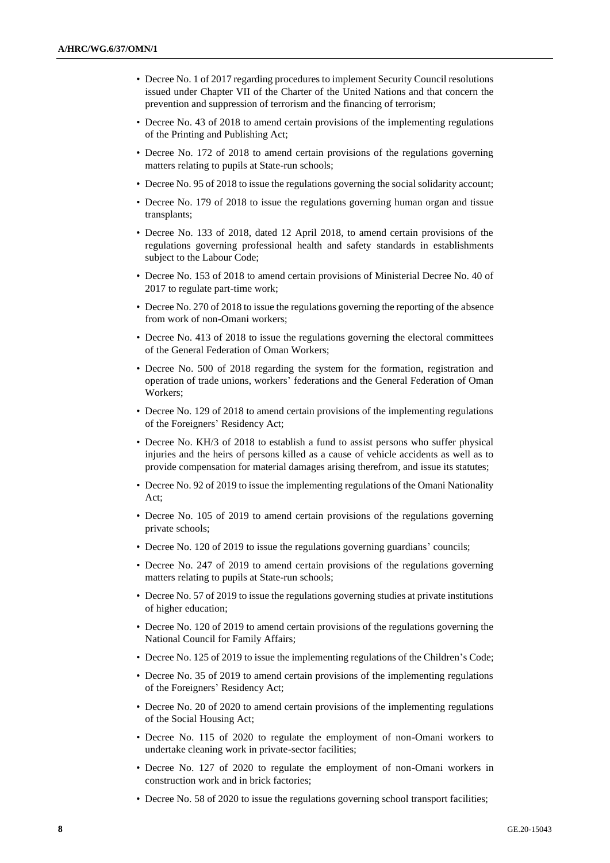- Decree No. 1 of 2017 regarding procedures to implement Security Council resolutions issued under Chapter VII of the Charter of the United Nations and that concern the prevention and suppression of terrorism and the financing of terrorism;
- Decree No. 43 of 2018 to amend certain provisions of the implementing regulations of the Printing and Publishing Act;
- Decree No. 172 of 2018 to amend certain provisions of the regulations governing matters relating to pupils at State-run schools;
- Decree No. 95 of 2018 to issue the regulations governing the social solidarity account;
- Decree No. 179 of 2018 to issue the regulations governing human organ and tissue transplants;
- Decree No. 133 of 2018, dated 12 April 2018, to amend certain provisions of the regulations governing professional health and safety standards in establishments subject to the Labour Code;
- Decree No. 153 of 2018 to amend certain provisions of Ministerial Decree No. 40 of 2017 to regulate part-time work;
- Decree No. 270 of 2018 to issue the regulations governing the reporting of the absence from work of non-Omani workers;
- Decree No. 413 of 2018 to issue the regulations governing the electoral committees of the General Federation of Oman Workers;
- Decree No. 500 of 2018 regarding the system for the formation, registration and operation of trade unions, workers' federations and the General Federation of Oman Workers;
- Decree No. 129 of 2018 to amend certain provisions of the implementing regulations of the Foreigners' Residency Act;
- Decree No. KH/3 of 2018 to establish a fund to assist persons who suffer physical injuries and the heirs of persons killed as a cause of vehicle accidents as well as to provide compensation for material damages arising therefrom, and issue its statutes;
- Decree No. 92 of 2019 to issue the implementing regulations of the Omani Nationality Act;
- Decree No. 105 of 2019 to amend certain provisions of the regulations governing private schools;
- Decree No. 120 of 2019 to issue the regulations governing guardians' councils;
- Decree No. 247 of 2019 to amend certain provisions of the regulations governing matters relating to pupils at State-run schools;
- Decree No. 57 of 2019 to issue the regulations governing studies at private institutions of higher education;
- Decree No. 120 of 2019 to amend certain provisions of the regulations governing the National Council for Family Affairs;
- Decree No. 125 of 2019 to issue the implementing regulations of the Children's Code;
- Decree No. 35 of 2019 to amend certain provisions of the implementing regulations of the Foreigners' Residency Act;
- Decree No. 20 of 2020 to amend certain provisions of the implementing regulations of the Social Housing Act;
- Decree No. 115 of 2020 to regulate the employment of non-Omani workers to undertake cleaning work in private-sector facilities;
- Decree No. 127 of 2020 to regulate the employment of non-Omani workers in construction work and in brick factories;
- Decree No. 58 of 2020 to issue the regulations governing school transport facilities;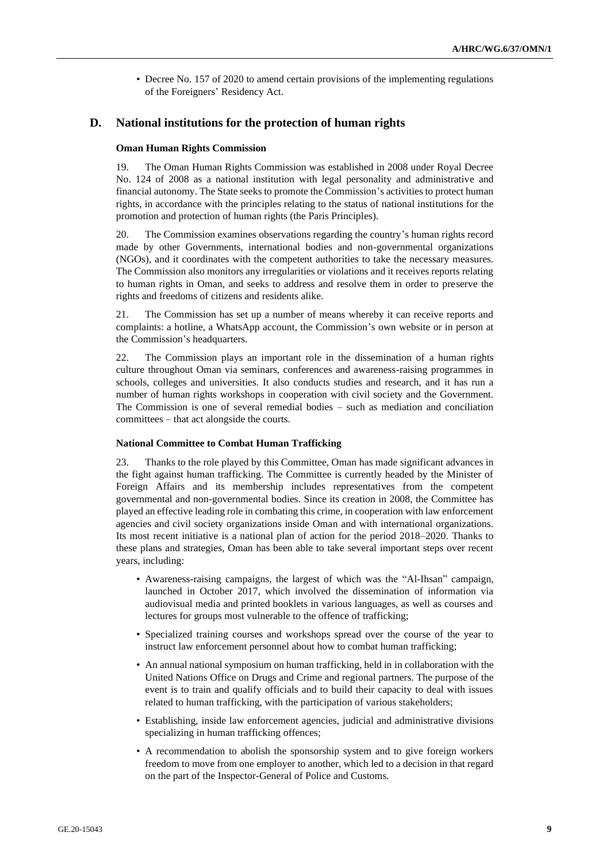• Decree No. 157 of 2020 to amend certain provisions of the implementing regulations of the Foreigners' Residency Act.

# **D. National institutions for the protection of human rights**

#### **Oman Human Rights Commission**

19. The Oman Human Rights Commission was established in 2008 under Royal Decree No. 124 of 2008 as a national institution with legal personality and administrative and financial autonomy. The State seeks to promote the Commission's activities to protect human rights, in accordance with the principles relating to the status of national institutions for the promotion and protection of human rights (the Paris Principles).

20. The Commission examines observations regarding the country's human rights record made by other Governments, international bodies and non-governmental organizations (NGOs), and it coordinates with the competent authorities to take the necessary measures. The Commission also monitors any irregularities or violations and it receives reports relating to human rights in Oman, and seeks to address and resolve them in order to preserve the rights and freedoms of citizens and residents alike.

21. The Commission has set up a number of means whereby it can receive reports and complaints: a hotline, a WhatsApp account, the Commission's own website or in person at the Commission's headquarters.

22. The Commission plays an important role in the dissemination of a human rights culture throughout Oman via seminars, conferences and awareness-raising programmes in schools, colleges and universities. It also conducts studies and research, and it has run a number of human rights workshops in cooperation with civil society and the Government. The Commission is one of several remedial bodies – such as mediation and conciliation committees – that act alongside the courts.

## **National Committee to Combat Human Trafficking**

23. Thanks to the role played by this Committee, Oman has made significant advances in the fight against human trafficking. The Committee is currently headed by the Minister of Foreign Affairs and its membership includes representatives from the competent governmental and non-governmental bodies. Since its creation in 2008, the Committee has played an effective leading role in combating this crime, in cooperation with law enforcement agencies and civil society organizations inside Oman and with international organizations. Its most recent initiative is a national plan of action for the period 2018–2020. Thanks to these plans and strategies, Oman has been able to take several important steps over recent years, including:

- Awareness-raising campaigns, the largest of which was the "Al-Ihsan" campaign, launched in October 2017, which involved the dissemination of information via audiovisual media and printed booklets in various languages, as well as courses and lectures for groups most vulnerable to the offence of trafficking;
- Specialized training courses and workshops spread over the course of the year to instruct law enforcement personnel about how to combat human trafficking;
- An annual national symposium on human trafficking, held in in collaboration with the United Nations Office on Drugs and Crime and regional partners. The purpose of the event is to train and qualify officials and to build their capacity to deal with issues related to human trafficking, with the participation of various stakeholders;
- Establishing, inside law enforcement agencies, judicial and administrative divisions specializing in human trafficking offences;
- A recommendation to abolish the sponsorship system and to give foreign workers freedom to move from one employer to another, which led to a decision in that regard on the part of the Inspector-General of Police and Customs.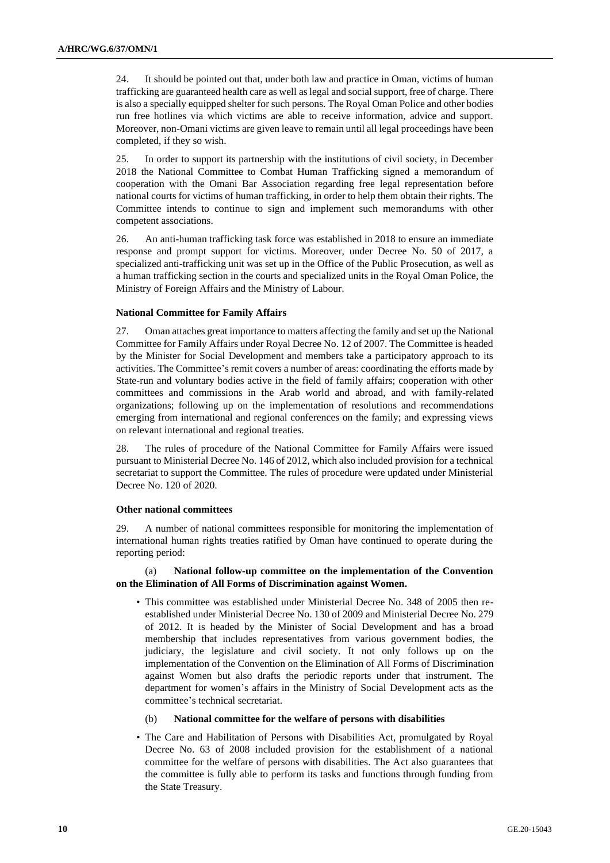24. It should be pointed out that, under both law and practice in Oman, victims of human trafficking are guaranteed health care as well as legal and social support, free of charge. There is also a specially equipped shelter for such persons. The Royal Oman Police and other bodies run free hotlines via which victims are able to receive information, advice and support. Moreover, non-Omani victims are given leave to remain until all legal proceedings have been completed, if they so wish.

25. In order to support its partnership with the institutions of civil society, in December 2018 the National Committee to Combat Human Trafficking signed a memorandum of cooperation with the Omani Bar Association regarding free legal representation before national courts for victims of human trafficking, in order to help them obtain their rights. The Committee intends to continue to sign and implement such memorandums with other competent associations.

26. An anti-human trafficking task force was established in 2018 to ensure an immediate response and prompt support for victims. Moreover, under Decree No. 50 of 2017, a specialized anti-trafficking unit was set up in the Office of the Public Prosecution, as well as a human trafficking section in the courts and specialized units in the Royal Oman Police, the Ministry of Foreign Affairs and the Ministry of Labour.

### **National Committee for Family Affairs**

27. Oman attaches great importance to matters affecting the family and set up the National Committee for Family Affairs under Royal Decree No. 12 of 2007. The Committee is headed by the Minister for Social Development and members take a participatory approach to its activities. The Committee's remit covers a number of areas: coordinating the efforts made by State-run and voluntary bodies active in the field of family affairs; cooperation with other committees and commissions in the Arab world and abroad, and with family-related organizations; following up on the implementation of resolutions and recommendations emerging from international and regional conferences on the family; and expressing views on relevant international and regional treaties.

28. The rules of procedure of the National Committee for Family Affairs were issued pursuant to Ministerial Decree No. 146 of 2012, which also included provision for a technical secretariat to support the Committee. The rules of procedure were updated under Ministerial Decree No. 120 of 2020.

### **Other national committees**

29. A number of national committees responsible for monitoring the implementation of international human rights treaties ratified by Oman have continued to operate during the reporting period:

## (a) **National follow-up committee on the implementation of the Convention on the Elimination of All Forms of Discrimination against Women.**

- This committee was established under Ministerial Decree No. 348 of 2005 then reestablished under Ministerial Decree No. 130 of 2009 and Ministerial Decree No. 279 of 2012. It is headed by the Minister of Social Development and has a broad membership that includes representatives from various government bodies, the judiciary, the legislature and civil society. It not only follows up on the implementation of the Convention on the Elimination of All Forms of Discrimination against Women but also drafts the periodic reports under that instrument. The department for women's affairs in the Ministry of Social Development acts as the committee's technical secretariat.
	- (b) **National committee for the welfare of persons with disabilities**
- The Care and Habilitation of Persons with Disabilities Act, promulgated by Royal Decree No. 63 of 2008 included provision for the establishment of a national committee for the welfare of persons with disabilities. The Act also guarantees that the committee is fully able to perform its tasks and functions through funding from the State Treasury.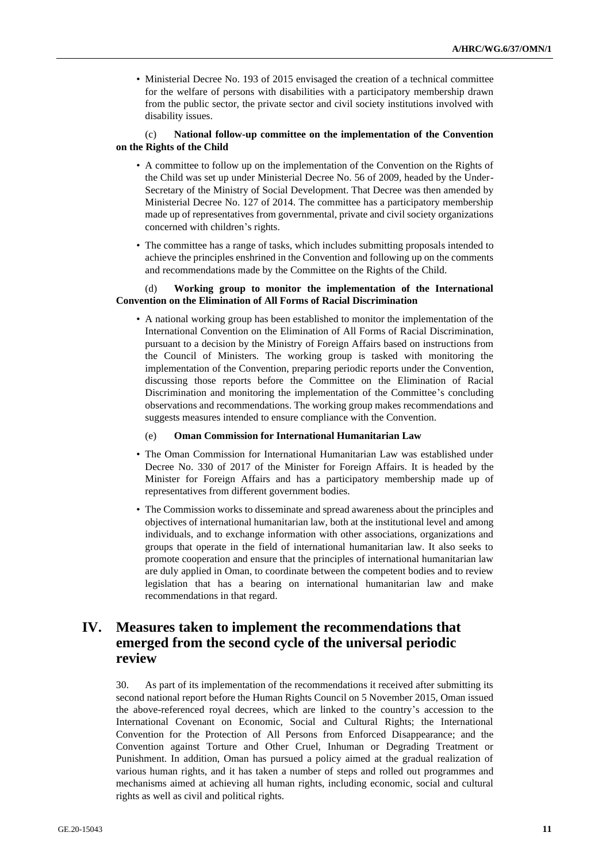• Ministerial Decree No. 193 of 2015 envisaged the creation of a technical committee for the welfare of persons with disabilities with a participatory membership drawn from the public sector, the private sector and civil society institutions involved with disability issues.

## (c) **National follow-up committee on the implementation of the Convention on the Rights of the Child**

- A committee to follow up on the implementation of the Convention on the Rights of the Child was set up under Ministerial Decree No. 56 of 2009, headed by the Under-Secretary of the Ministry of Social Development. That Decree was then amended by Ministerial Decree No. 127 of 2014. The committee has a participatory membership made up of representatives from governmental, private and civil society organizations concerned with children's rights.
- The committee has a range of tasks, which includes submitting proposals intended to achieve the principles enshrined in the Convention and following up on the comments and recommendations made by the Committee on the Rights of the Child.

## (d) **Working group to monitor the implementation of the International Convention on the Elimination of All Forms of Racial Discrimination**

• A national working group has been established to monitor the implementation of the International Convention on the Elimination of All Forms of Racial Discrimination, pursuant to a decision by the Ministry of Foreign Affairs based on instructions from the Council of Ministers. The working group is tasked with monitoring the implementation of the Convention, preparing periodic reports under the Convention, discussing those reports before the Committee on the Elimination of Racial Discrimination and monitoring the implementation of the Committee's concluding observations and recommendations. The working group makes recommendations and suggests measures intended to ensure compliance with the Convention.

### (e) **Oman Commission for International Humanitarian Law**

- The Oman Commission for International Humanitarian Law was established under Decree No. 330 of 2017 of the Minister for Foreign Affairs. It is headed by the Minister for Foreign Affairs and has a participatory membership made up of representatives from different government bodies.
- The Commission works to disseminate and spread awareness about the principles and objectives of international humanitarian law, both at the institutional level and among individuals, and to exchange information with other associations, organizations and groups that operate in the field of international humanitarian law. It also seeks to promote cooperation and ensure that the principles of international humanitarian law are duly applied in Oman, to coordinate between the competent bodies and to review legislation that has a bearing on international humanitarian law and make recommendations in that regard.

# **IV. Measures taken to implement the recommendations that emerged from the second cycle of the universal periodic review**

30. As part of its implementation of the recommendations it received after submitting its second national report before the Human Rights Council on 5 November 2015, Oman issued the above-referenced royal decrees, which are linked to the country's accession to the International Covenant on Economic, Social and Cultural Rights; the International Convention for the Protection of All Persons from Enforced Disappearance; and the Convention against Torture and Other Cruel, Inhuman or Degrading Treatment or Punishment. In addition, Oman has pursued a policy aimed at the gradual realization of various human rights, and it has taken a number of steps and rolled out programmes and mechanisms aimed at achieving all human rights, including economic, social and cultural rights as well as civil and political rights.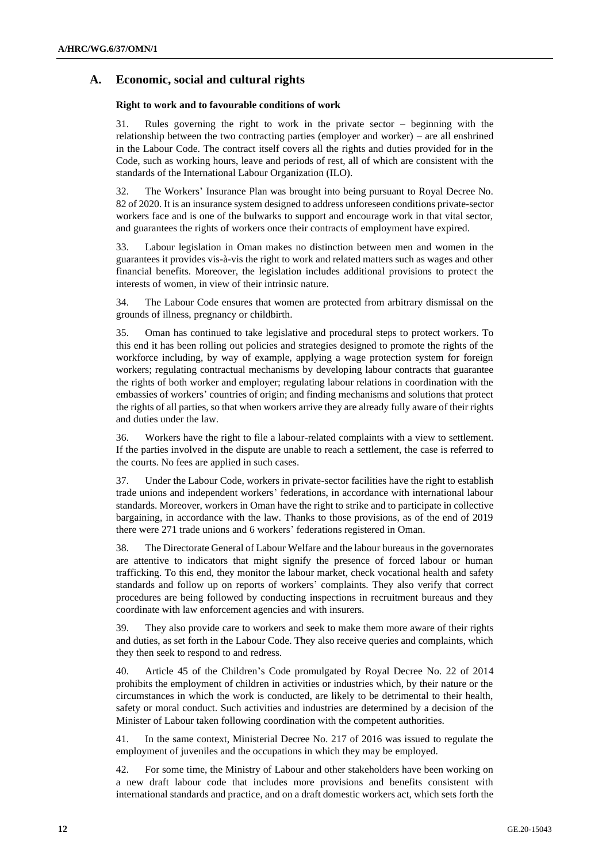# **A. Economic, social and cultural rights**

## **Right to work and to favourable conditions of work**

31. Rules governing the right to work in the private sector – beginning with the relationship between the two contracting parties (employer and worker) – are all enshrined in the Labour Code. The contract itself covers all the rights and duties provided for in the Code, such as working hours, leave and periods of rest, all of which are consistent with the standards of the International Labour Organization (ILO).

32. The Workers' Insurance Plan was brought into being pursuant to Royal Decree No. 82 of 2020. It is an insurance system designed to address unforeseen conditions private-sector workers face and is one of the bulwarks to support and encourage work in that vital sector, and guarantees the rights of workers once their contracts of employment have expired.

33. Labour legislation in Oman makes no distinction between men and women in the guarantees it provides vis-à-vis the right to work and related matters such as wages and other financial benefits. Moreover, the legislation includes additional provisions to protect the interests of women, in view of their intrinsic nature.

34. The Labour Code ensures that women are protected from arbitrary dismissal on the grounds of illness, pregnancy or childbirth.

35. Oman has continued to take legislative and procedural steps to protect workers. To this end it has been rolling out policies and strategies designed to promote the rights of the workforce including, by way of example, applying a wage protection system for foreign workers; regulating contractual mechanisms by developing labour contracts that guarantee the rights of both worker and employer; regulating labour relations in coordination with the embassies of workers' countries of origin; and finding mechanisms and solutions that protect the rights of all parties, so that when workers arrive they are already fully aware of their rights and duties under the law.

36. Workers have the right to file a labour-related complaints with a view to settlement. If the parties involved in the dispute are unable to reach a settlement, the case is referred to the courts. No fees are applied in such cases.

37. Under the Labour Code, workers in private-sector facilities have the right to establish trade unions and independent workers' federations, in accordance with international labour standards. Moreover, workers in Oman have the right to strike and to participate in collective bargaining, in accordance with the law. Thanks to those provisions, as of the end of 2019 there were 271 trade unions and 6 workers' federations registered in Oman.

38. The Directorate General of Labour Welfare and the labour bureaus in the governorates are attentive to indicators that might signify the presence of forced labour or human trafficking. To this end, they monitor the labour market, check vocational health and safety standards and follow up on reports of workers' complaints. They also verify that correct procedures are being followed by conducting inspections in recruitment bureaus and they coordinate with law enforcement agencies and with insurers.

39. They also provide care to workers and seek to make them more aware of their rights and duties, as set forth in the Labour Code. They also receive queries and complaints, which they then seek to respond to and redress.

40. Article 45 of the Children's Code promulgated by Royal Decree No. 22 of 2014 prohibits the employment of children in activities or industries which, by their nature or the circumstances in which the work is conducted, are likely to be detrimental to their health, safety or moral conduct. Such activities and industries are determined by a decision of the Minister of Labour taken following coordination with the competent authorities.

41. In the same context, Ministerial Decree No. 217 of 2016 was issued to regulate the employment of juveniles and the occupations in which they may be employed.

42. For some time, the Ministry of Labour and other stakeholders have been working on a new draft labour code that includes more provisions and benefits consistent with international standards and practice, and on a draft domestic workers act, which sets forth the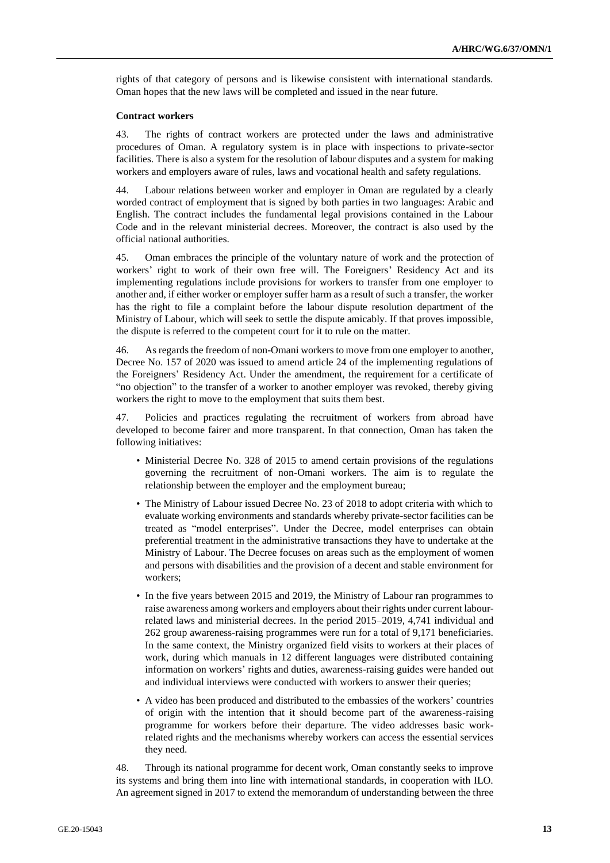rights of that category of persons and is likewise consistent with international standards. Oman hopes that the new laws will be completed and issued in the near future.

#### **Contract workers**

43. The rights of contract workers are protected under the laws and administrative procedures of Oman. A regulatory system is in place with inspections to private-sector facilities. There is also a system for the resolution of labour disputes and a system for making workers and employers aware of rules, laws and vocational health and safety regulations.

44. Labour relations between worker and employer in Oman are regulated by a clearly worded contract of employment that is signed by both parties in two languages: Arabic and English. The contract includes the fundamental legal provisions contained in the Labour Code and in the relevant ministerial decrees. Moreover, the contract is also used by the official national authorities.

45. Oman embraces the principle of the voluntary nature of work and the protection of workers' right to work of their own free will. The Foreigners' Residency Act and its implementing regulations include provisions for workers to transfer from one employer to another and, if either worker or employer suffer harm as a result of such a transfer, the worker has the right to file a complaint before the labour dispute resolution department of the Ministry of Labour, which will seek to settle the dispute amicably. If that proves impossible, the dispute is referred to the competent court for it to rule on the matter.

46. As regards the freedom of non-Omani workers to move from one employer to another, Decree No. 157 of 2020 was issued to amend article 24 of the implementing regulations of the Foreigners' Residency Act. Under the amendment, the requirement for a certificate of "no objection" to the transfer of a worker to another employer was revoked, thereby giving workers the right to move to the employment that suits them best.

47. Policies and practices regulating the recruitment of workers from abroad have developed to become fairer and more transparent. In that connection, Oman has taken the following initiatives:

- Ministerial Decree No. 328 of 2015 to amend certain provisions of the regulations governing the recruitment of non-Omani workers. The aim is to regulate the relationship between the employer and the employment bureau;
- The Ministry of Labour issued Decree No. 23 of 2018 to adopt criteria with which to evaluate working environments and standards whereby private-sector facilities can be treated as "model enterprises". Under the Decree, model enterprises can obtain preferential treatment in the administrative transactions they have to undertake at the Ministry of Labour. The Decree focuses on areas such as the employment of women and persons with disabilities and the provision of a decent and stable environment for workers;
- In the five years between 2015 and 2019, the Ministry of Labour ran programmes to raise awareness among workers and employers about their rights under current labourrelated laws and ministerial decrees. In the period 2015–2019, 4,741 individual and 262 group awareness-raising programmes were run for a total of 9,171 beneficiaries. In the same context, the Ministry organized field visits to workers at their places of work, during which manuals in 12 different languages were distributed containing information on workers' rights and duties, awareness-raising guides were handed out and individual interviews were conducted with workers to answer their queries;
- A video has been produced and distributed to the embassies of the workers' countries of origin with the intention that it should become part of the awareness-raising programme for workers before their departure. The video addresses basic workrelated rights and the mechanisms whereby workers can access the essential services they need.

48. Through its national programme for decent work, Oman constantly seeks to improve its systems and bring them into line with international standards, in cooperation with ILO. An agreement signed in 2017 to extend the memorandum of understanding between the three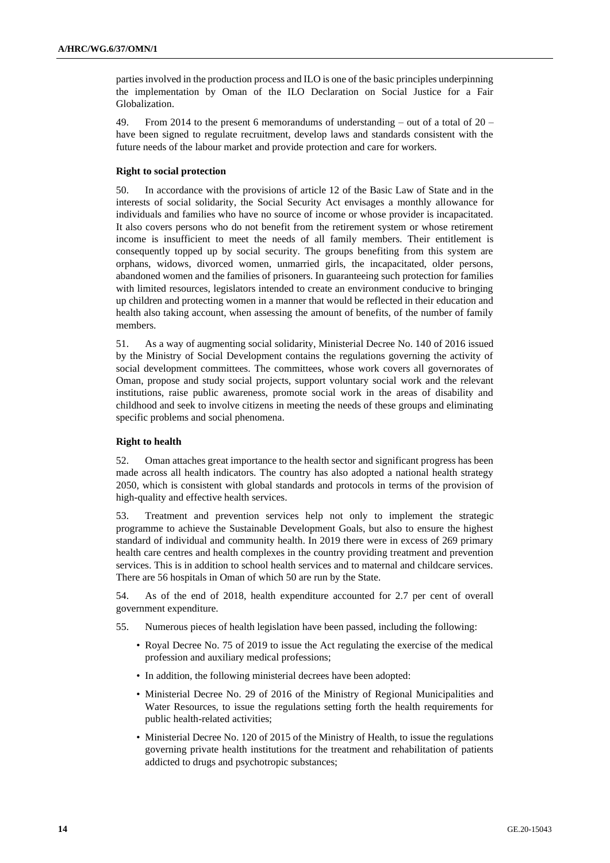parties involved in the production process and ILO is one of the basic principles underpinning the implementation by Oman of the ILO Declaration on Social Justice for a Fair Globalization.

49. From 2014 to the present 6 memorandums of understanding – out of a total of 20 – have been signed to regulate recruitment, develop laws and standards consistent with the future needs of the labour market and provide protection and care for workers.

### **Right to social protection**

50. In accordance with the provisions of article 12 of the Basic Law of State and in the interests of social solidarity, the Social Security Act envisages a monthly allowance for individuals and families who have no source of income or whose provider is incapacitated. It also covers persons who do not benefit from the retirement system or whose retirement income is insufficient to meet the needs of all family members. Their entitlement is consequently topped up by social security. The groups benefiting from this system are orphans, widows, divorced women, unmarried girls, the incapacitated, older persons, abandoned women and the families of prisoners. In guaranteeing such protection for families with limited resources, legislators intended to create an environment conducive to bringing up children and protecting women in a manner that would be reflected in their education and health also taking account, when assessing the amount of benefits, of the number of family members.

51. As a way of augmenting social solidarity, Ministerial Decree No. 140 of 2016 issued by the Ministry of Social Development contains the regulations governing the activity of social development committees. The committees, whose work covers all governorates of Oman, propose and study social projects, support voluntary social work and the relevant institutions, raise public awareness, promote social work in the areas of disability and childhood and seek to involve citizens in meeting the needs of these groups and eliminating specific problems and social phenomena.

### **Right to health**

52. Oman attaches great importance to the health sector and significant progress has been made across all health indicators. The country has also adopted a national health strategy 2050, which is consistent with global standards and protocols in terms of the provision of high-quality and effective health services.

53. Treatment and prevention services help not only to implement the strategic programme to achieve the Sustainable Development Goals, but also to ensure the highest standard of individual and community health. In 2019 there were in excess of 269 primary health care centres and health complexes in the country providing treatment and prevention services. This is in addition to school health services and to maternal and childcare services. There are 56 hospitals in Oman of which 50 are run by the State.

54. As of the end of 2018, health expenditure accounted for 2.7 per cent of overall government expenditure.

- 55. Numerous pieces of health legislation have been passed, including the following:
	- Royal Decree No. 75 of 2019 to issue the Act regulating the exercise of the medical profession and auxiliary medical professions;
	- In addition, the following ministerial decrees have been adopted:
	- Ministerial Decree No. 29 of 2016 of the Ministry of Regional Municipalities and Water Resources, to issue the regulations setting forth the health requirements for public health-related activities;
	- Ministerial Decree No. 120 of 2015 of the Ministry of Health, to issue the regulations governing private health institutions for the treatment and rehabilitation of patients addicted to drugs and psychotropic substances;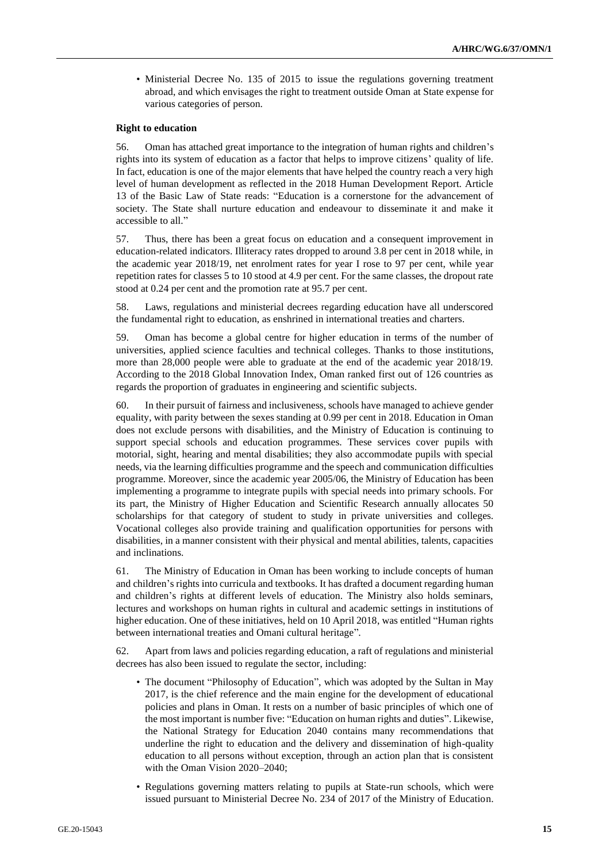• Ministerial Decree No. 135 of 2015 to issue the regulations governing treatment abroad, and which envisages the right to treatment outside Oman at State expense for various categories of person.

## **Right to education**

56. Oman has attached great importance to the integration of human rights and children's rights into its system of education as a factor that helps to improve citizens' quality of life. In fact, education is one of the major elements that have helped the country reach a very high level of human development as reflected in the 2018 Human Development Report. Article 13 of the Basic Law of State reads: "Education is a cornerstone for the advancement of society. The State shall nurture education and endeavour to disseminate it and make it accessible to all."

57. Thus, there has been a great focus on education and a consequent improvement in education-related indicators. Illiteracy rates dropped to around 3.8 per cent in 2018 while, in the academic year 2018/19, net enrolment rates for year I rose to 97 per cent, while year repetition rates for classes 5 to 10 stood at 4.9 per cent. For the same classes, the dropout rate stood at 0.24 per cent and the promotion rate at 95.7 per cent.

58. Laws, regulations and ministerial decrees regarding education have all underscored the fundamental right to education, as enshrined in international treaties and charters.

59. Oman has become a global centre for higher education in terms of the number of universities, applied science faculties and technical colleges. Thanks to those institutions, more than 28,000 people were able to graduate at the end of the academic year 2018/19. According to the 2018 Global Innovation Index, Oman ranked first out of 126 countries as regards the proportion of graduates in engineering and scientific subjects.

60. In their pursuit of fairness and inclusiveness, schools have managed to achieve gender equality, with parity between the sexes standing at 0.99 per cent in 2018. Education in Oman does not exclude persons with disabilities, and the Ministry of Education is continuing to support special schools and education programmes. These services cover pupils with motorial, sight, hearing and mental disabilities; they also accommodate pupils with special needs, via the learning difficulties programme and the speech and communication difficulties programme. Moreover, since the academic year 2005/06, the Ministry of Education has been implementing a programme to integrate pupils with special needs into primary schools. For its part, the Ministry of Higher Education and Scientific Research annually allocates 50 scholarships for that category of student to study in private universities and colleges. Vocational colleges also provide training and qualification opportunities for persons with disabilities, in a manner consistent with their physical and mental abilities, talents, capacities and inclinations.

61. The Ministry of Education in Oman has been working to include concepts of human and children's rights into curricula and textbooks. It has drafted a document regarding human and children's rights at different levels of education. The Ministry also holds seminars, lectures and workshops on human rights in cultural and academic settings in institutions of higher education. One of these initiatives, held on 10 April 2018, was entitled "Human rights between international treaties and Omani cultural heritage".

62. Apart from laws and policies regarding education, a raft of regulations and ministerial decrees has also been issued to regulate the sector, including:

- The document "Philosophy of Education", which was adopted by the Sultan in May 2017, is the chief reference and the main engine for the development of educational policies and plans in Oman. It rests on a number of basic principles of which one of the most important is number five: "Education on human rights and duties". Likewise, the National Strategy for Education 2040 contains many recommendations that underline the right to education and the delivery and dissemination of high-quality education to all persons without exception, through an action plan that is consistent with the Oman Vision 2020–2040;
- Regulations governing matters relating to pupils at State-run schools, which were issued pursuant to Ministerial Decree No. 234 of 2017 of the Ministry of Education.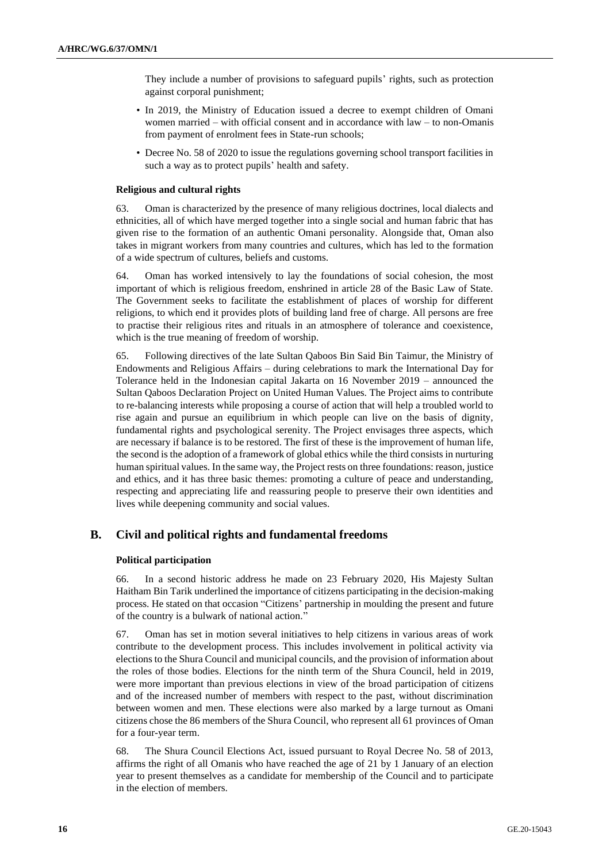They include a number of provisions to safeguard pupils' rights, such as protection against corporal punishment;

- In 2019, the Ministry of Education issued a decree to exempt children of Omani women married – with official consent and in accordance with law – to non-Omanis from payment of enrolment fees in State-run schools;
- Decree No. 58 of 2020 to issue the regulations governing school transport facilities in such a way as to protect pupils' health and safety.

## **Religious and cultural rights**

63. Oman is characterized by the presence of many religious doctrines, local dialects and ethnicities, all of which have merged together into a single social and human fabric that has given rise to the formation of an authentic Omani personality. Alongside that, Oman also takes in migrant workers from many countries and cultures, which has led to the formation of a wide spectrum of cultures, beliefs and customs.

64. Oman has worked intensively to lay the foundations of social cohesion, the most important of which is religious freedom, enshrined in article 28 of the Basic Law of State. The Government seeks to facilitate the establishment of places of worship for different religions, to which end it provides plots of building land free of charge. All persons are free to practise their religious rites and rituals in an atmosphere of tolerance and coexistence, which is the true meaning of freedom of worship.

65. Following directives of the late Sultan Qaboos Bin Said Bin Taimur, the Ministry of Endowments and Religious Affairs – during celebrations to mark the International Day for Tolerance held in the Indonesian capital Jakarta on 16 November 2019 – announced the Sultan Qaboos Declaration Project on United Human Values. The Project aims to contribute to re-balancing interests while proposing a course of action that will help a troubled world to rise again and pursue an equilibrium in which people can live on the basis of dignity, fundamental rights and psychological serenity. The Project envisages three aspects, which are necessary if balance is to be restored. The first of these is the improvement of human life, the second is the adoption of a framework of global ethics while the third consists in nurturing human spiritual values. In the same way, the Project rests on three foundations: reason, justice and ethics, and it has three basic themes: promoting a culture of peace and understanding, respecting and appreciating life and reassuring people to preserve their own identities and lives while deepening community and social values.

# **B. Civil and political rights and fundamental freedoms**

### **Political participation**

66. In a second historic address he made on 23 February 2020, His Majesty Sultan Haitham Bin Tarik underlined the importance of citizens participating in the decision-making process. He stated on that occasion "Citizens' partnership in moulding the present and future of the country is a bulwark of national action."

67. Oman has set in motion several initiatives to help citizens in various areas of work contribute to the development process. This includes involvement in political activity via elections to the Shura Council and municipal councils, and the provision of information about the roles of those bodies. Elections for the ninth term of the Shura Council, held in 2019, were more important than previous elections in view of the broad participation of citizens and of the increased number of members with respect to the past, without discrimination between women and men. These elections were also marked by a large turnout as Omani citizens chose the 86 members of the Shura Council, who represent all 61 provinces of Oman for a four-year term.

68. The Shura Council Elections Act, issued pursuant to Royal Decree No. 58 of 2013, affirms the right of all Omanis who have reached the age of 21 by 1 January of an election year to present themselves as a candidate for membership of the Council and to participate in the election of members.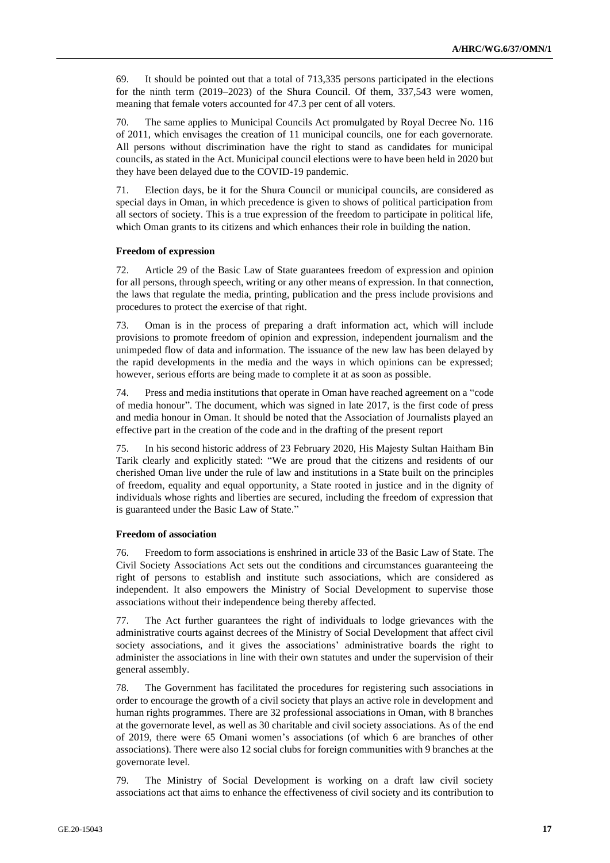69. It should be pointed out that a total of 713,335 persons participated in the elections for the ninth term (2019–2023) of the Shura Council. Of them, 337,543 were women, meaning that female voters accounted for 47.3 per cent of all voters.

70. The same applies to Municipal Councils Act promulgated by Royal Decree No. 116 of 2011, which envisages the creation of 11 municipal councils, one for each governorate. All persons without discrimination have the right to stand as candidates for municipal councils, as stated in the Act. Municipal council elections were to have been held in 2020 but they have been delayed due to the COVID-19 pandemic.

71. Election days, be it for the Shura Council or municipal councils, are considered as special days in Oman, in which precedence is given to shows of political participation from all sectors of society. This is a true expression of the freedom to participate in political life, which Oman grants to its citizens and which enhances their role in building the nation.

## **Freedom of expression**

72. Article 29 of the Basic Law of State guarantees freedom of expression and opinion for all persons, through speech, writing or any other means of expression. In that connection, the laws that regulate the media, printing, publication and the press include provisions and procedures to protect the exercise of that right.

73. Oman is in the process of preparing a draft information act, which will include provisions to promote freedom of opinion and expression, independent journalism and the unimpeded flow of data and information. The issuance of the new law has been delayed by the rapid developments in the media and the ways in which opinions can be expressed; however, serious efforts are being made to complete it at as soon as possible.

74. Press and media institutions that operate in Oman have reached agreement on a "code of media honour". The document, which was signed in late 2017, is the first code of press and media honour in Oman. It should be noted that the Association of Journalists played an effective part in the creation of the code and in the drafting of the present report

75. In his second historic address of 23 February 2020, His Majesty Sultan Haitham Bin Tarik clearly and explicitly stated: "We are proud that the citizens and residents of our cherished Oman live under the rule of law and institutions in a State built on the principles of freedom, equality and equal opportunity, a State rooted in justice and in the dignity of individuals whose rights and liberties are secured, including the freedom of expression that is guaranteed under the Basic Law of State."

#### **Freedom of association**

76. Freedom to form associations is enshrined in article 33 of the Basic Law of State. The Civil Society Associations Act sets out the conditions and circumstances guaranteeing the right of persons to establish and institute such associations, which are considered as independent. It also empowers the Ministry of Social Development to supervise those associations without their independence being thereby affected.

77. The Act further guarantees the right of individuals to lodge grievances with the administrative courts against decrees of the Ministry of Social Development that affect civil society associations, and it gives the associations' administrative boards the right to administer the associations in line with their own statutes and under the supervision of their general assembly.

78. The Government has facilitated the procedures for registering such associations in order to encourage the growth of a civil society that plays an active role in development and human rights programmes. There are 32 professional associations in Oman, with 8 branches at the governorate level, as well as 30 charitable and civil society associations. As of the end of 2019, there were 65 Omani women's associations (of which 6 are branches of other associations). There were also 12 social clubs for foreign communities with 9 branches at the governorate level.

79. The Ministry of Social Development is working on a draft law civil society associations act that aims to enhance the effectiveness of civil society and its contribution to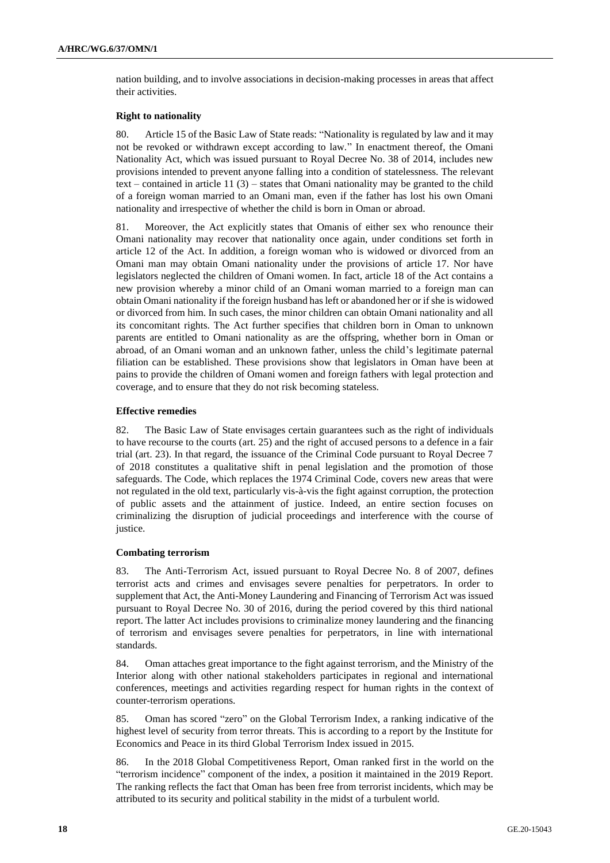nation building, and to involve associations in decision-making processes in areas that affect their activities.

#### **Right to nationality**

80. Article 15 of the Basic Law of State reads: "Nationality is regulated by law and it may not be revoked or withdrawn except according to law." In enactment thereof, the Omani Nationality Act, which was issued pursuant to Royal Decree No. 38 of 2014, includes new provisions intended to prevent anyone falling into a condition of statelessness. The relevant text – contained in article  $11 (3)$  – states that Omani nationality may be granted to the child of a foreign woman married to an Omani man, even if the father has lost his own Omani nationality and irrespective of whether the child is born in Oman or abroad.

81. Moreover, the Act explicitly states that Omanis of either sex who renounce their Omani nationality may recover that nationality once again, under conditions set forth in article 12 of the Act. In addition, a foreign woman who is widowed or divorced from an Omani man may obtain Omani nationality under the provisions of article 17. Nor have legislators neglected the children of Omani women. In fact, article 18 of the Act contains a new provision whereby a minor child of an Omani woman married to a foreign man can obtain Omani nationality if the foreign husband has left or abandoned her or if she is widowed or divorced from him. In such cases, the minor children can obtain Omani nationality and all its concomitant rights. The Act further specifies that children born in Oman to unknown parents are entitled to Omani nationality as are the offspring, whether born in Oman or abroad, of an Omani woman and an unknown father, unless the child's legitimate paternal filiation can be established. These provisions show that legislators in Oman have been at pains to provide the children of Omani women and foreign fathers with legal protection and coverage, and to ensure that they do not risk becoming stateless.

### **Effective remedies**

82. The Basic Law of State envisages certain guarantees such as the right of individuals to have recourse to the courts (art. 25) and the right of accused persons to a defence in a fair trial (art. 23). In that regard, the issuance of the Criminal Code pursuant to Royal Decree 7 of 2018 constitutes a qualitative shift in penal legislation and the promotion of those safeguards. The Code, which replaces the 1974 Criminal Code, covers new areas that were not regulated in the old text, particularly vis-à-vis the fight against corruption, the protection of public assets and the attainment of justice. Indeed, an entire section focuses on criminalizing the disruption of judicial proceedings and interference with the course of justice.

#### **Combating terrorism**

83. The Anti-Terrorism Act, issued pursuant to Royal Decree No. 8 of 2007, defines terrorist acts and crimes and envisages severe penalties for perpetrators. In order to supplement that Act, the Anti-Money Laundering and Financing of Terrorism Act was issued pursuant to Royal Decree No. 30 of 2016, during the period covered by this third national report. The latter Act includes provisions to criminalize money laundering and the financing of terrorism and envisages severe penalties for perpetrators, in line with international standards.

84. Oman attaches great importance to the fight against terrorism, and the Ministry of the Interior along with other national stakeholders participates in regional and international conferences, meetings and activities regarding respect for human rights in the context of counter-terrorism operations.

85. Oman has scored "zero" on the Global Terrorism Index, a ranking indicative of the highest level of security from terror threats. This is according to a report by the Institute for Economics and Peace in its third Global Terrorism Index issued in 2015.

86. In the 2018 Global Competitiveness Report, Oman ranked first in the world on the "terrorism incidence" component of the index, a position it maintained in the 2019 Report. The ranking reflects the fact that Oman has been free from terrorist incidents, which may be attributed to its security and political stability in the midst of a turbulent world.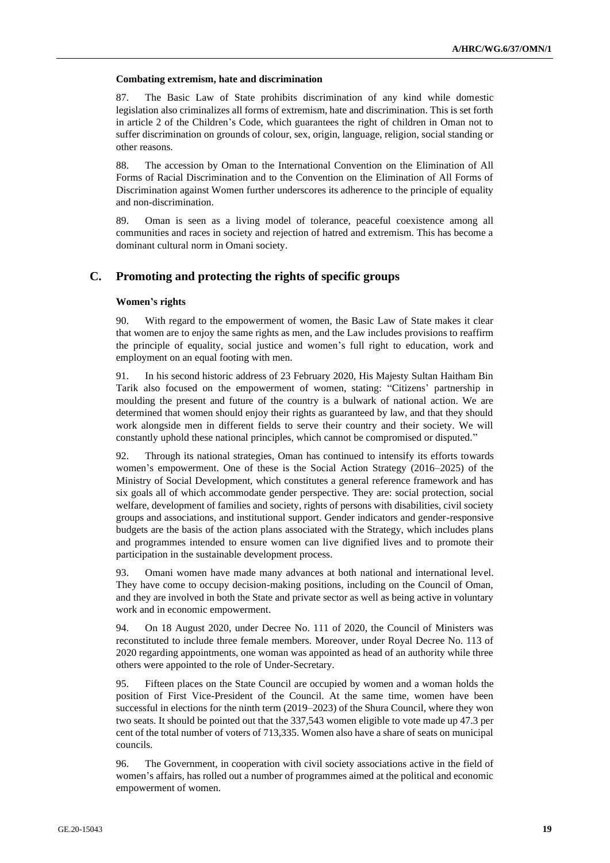#### **Combating extremism, hate and discrimination**

87. The Basic Law of State prohibits discrimination of any kind while domestic legislation also criminalizes all forms of extremism, hate and discrimination. This is set forth in article 2 of the Children's Code, which guarantees the right of children in Oman not to suffer discrimination on grounds of colour, sex, origin, language, religion, social standing or other reasons.

88. The accession by Oman to the International Convention on the Elimination of All Forms of Racial Discrimination and to the Convention on the Elimination of All Forms of Discrimination against Women further underscores its adherence to the principle of equality and non-discrimination.

89. Oman is seen as a living model of tolerance, peaceful coexistence among all communities and races in society and rejection of hatred and extremism. This has become a dominant cultural norm in Omani society.

# **C. Promoting and protecting the rights of specific groups**

### **Women's rights**

90. With regard to the empowerment of women, the Basic Law of State makes it clear that women are to enjoy the same rights as men, and the Law includes provisions to reaffirm the principle of equality, social justice and women's full right to education, work and employment on an equal footing with men.

91. In his second historic address of 23 February 2020, His Majesty Sultan Haitham Bin Tarik also focused on the empowerment of women, stating: "Citizens' partnership in moulding the present and future of the country is a bulwark of national action. We are determined that women should enjoy their rights as guaranteed by law, and that they should work alongside men in different fields to serve their country and their society. We will constantly uphold these national principles, which cannot be compromised or disputed."

92. Through its national strategies, Oman has continued to intensify its efforts towards women's empowerment. One of these is the Social Action Strategy (2016–2025) of the Ministry of Social Development, which constitutes a general reference framework and has six goals all of which accommodate gender perspective. They are: social protection, social welfare, development of families and society, rights of persons with disabilities, civil society groups and associations, and institutional support. Gender indicators and gender-responsive budgets are the basis of the action plans associated with the Strategy, which includes plans and programmes intended to ensure women can live dignified lives and to promote their participation in the sustainable development process.

93. Omani women have made many advances at both national and international level. They have come to occupy decision-making positions, including on the Council of Oman, and they are involved in both the State and private sector as well as being active in voluntary work and in economic empowerment.

94. On 18 August 2020, under Decree No. 111 of 2020, the Council of Ministers was reconstituted to include three female members. Moreover, under Royal Decree No. 113 of 2020 regarding appointments, one woman was appointed as head of an authority while three others were appointed to the role of Under-Secretary.

95. Fifteen places on the State Council are occupied by women and a woman holds the position of First Vice-President of the Council. At the same time, women have been successful in elections for the ninth term (2019–2023) of the Shura Council, where they won two seats. It should be pointed out that the 337,543 women eligible to vote made up 47.3 per cent of the total number of voters of 713,335. Women also have a share of seats on municipal councils.

96. The Government, in cooperation with civil society associations active in the field of women's affairs, has rolled out a number of programmes aimed at the political and economic empowerment of women.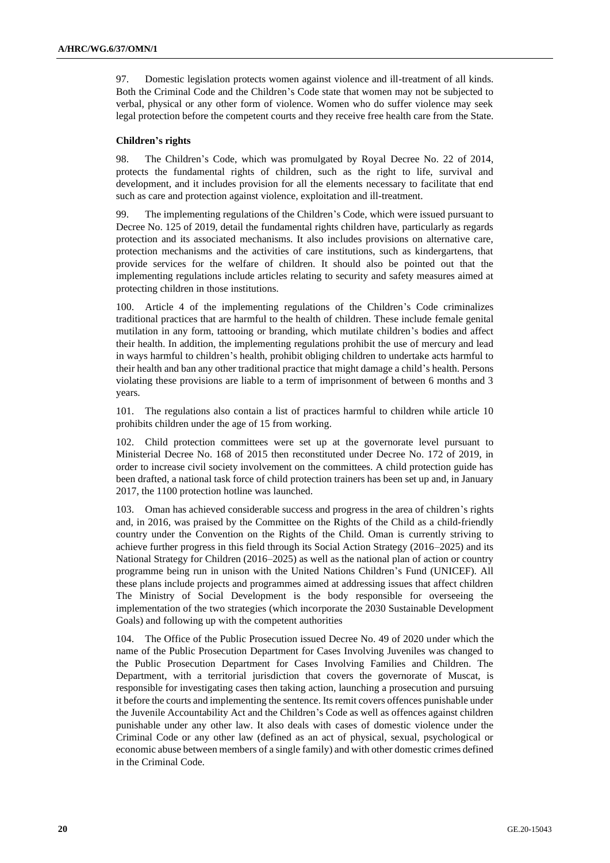97. Domestic legislation protects women against violence and ill-treatment of all kinds. Both the Criminal Code and the Children's Code state that women may not be subjected to verbal, physical or any other form of violence. Women who do suffer violence may seek legal protection before the competent courts and they receive free health care from the State.

### **Children's rights**

98. The Children's Code, which was promulgated by Royal Decree No. 22 of 2014, protects the fundamental rights of children, such as the right to life, survival and development, and it includes provision for all the elements necessary to facilitate that end such as care and protection against violence, exploitation and ill-treatment.

99. The implementing regulations of the Children's Code, which were issued pursuant to Decree No. 125 of 2019, detail the fundamental rights children have, particularly as regards protection and its associated mechanisms. It also includes provisions on alternative care, protection mechanisms and the activities of care institutions, such as kindergartens, that provide services for the welfare of children. It should also be pointed out that the implementing regulations include articles relating to security and safety measures aimed at protecting children in those institutions.

100. Article 4 of the implementing regulations of the Children's Code criminalizes traditional practices that are harmful to the health of children. These include female genital mutilation in any form, tattooing or branding, which mutilate children's bodies and affect their health. In addition, the implementing regulations prohibit the use of mercury and lead in ways harmful to children's health, prohibit obliging children to undertake acts harmful to their health and ban any other traditional practice that might damage a child's health. Persons violating these provisions are liable to a term of imprisonment of between 6 months and 3 years.

101. The regulations also contain a list of practices harmful to children while article 10 prohibits children under the age of 15 from working.

102. Child protection committees were set up at the governorate level pursuant to Ministerial Decree No. 168 of 2015 then reconstituted under Decree No. 172 of 2019, in order to increase civil society involvement on the committees. A child protection guide has been drafted, a national task force of child protection trainers has been set up and, in January 2017, the 1100 protection hotline was launched.

103. Oman has achieved considerable success and progress in the area of children's rights and, in 2016, was praised by the Committee on the Rights of the Child as a child-friendly country under the Convention on the Rights of the Child. Oman is currently striving to achieve further progress in this field through its Social Action Strategy (2016–2025) and its National Strategy for Children (2016–2025) as well as the national plan of action or country programme being run in unison with the United Nations Children's Fund (UNICEF). All these plans include projects and programmes aimed at addressing issues that affect children The Ministry of Social Development is the body responsible for overseeing the implementation of the two strategies (which incorporate the 2030 Sustainable Development Goals) and following up with the competent authorities

104. The Office of the Public Prosecution issued Decree No. 49 of 2020 under which the name of the Public Prosecution Department for Cases Involving Juveniles was changed to the Public Prosecution Department for Cases Involving Families and Children. The Department, with a territorial jurisdiction that covers the governorate of Muscat, is responsible for investigating cases then taking action, launching a prosecution and pursuing it before the courts and implementing the sentence. Its remit covers offences punishable under the Juvenile Accountability Act and the Children's Code as well as offences against children punishable under any other law. It also deals with cases of domestic violence under the Criminal Code or any other law (defined as an act of physical, sexual, psychological or economic abuse between members of a single family) and with other domestic crimes defined in the Criminal Code.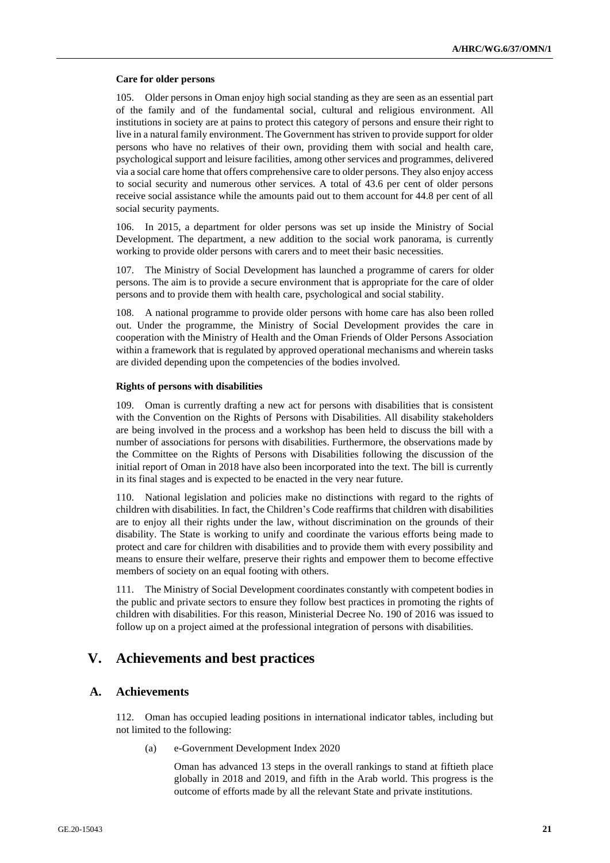#### **Care for older persons**

105. Older persons in Oman enjoy high social standing as they are seen as an essential part of the family and of the fundamental social, cultural and religious environment. All institutions in society are at pains to protect this category of persons and ensure their right to live in a natural family environment. The Government has striven to provide support for older persons who have no relatives of their own, providing them with social and health care, psychological support and leisure facilities, among other services and programmes, delivered via a social care home that offers comprehensive care to older persons. They also enjoy access to social security and numerous other services. A total of 43.6 per cent of older persons receive social assistance while the amounts paid out to them account for 44.8 per cent of all social security payments.

106. In 2015, a department for older persons was set up inside the Ministry of Social Development. The department, a new addition to the social work panorama, is currently working to provide older persons with carers and to meet their basic necessities.

107. The Ministry of Social Development has launched a programme of carers for older persons. The aim is to provide a secure environment that is appropriate for the care of older persons and to provide them with health care, psychological and social stability.

108. A national programme to provide older persons with home care has also been rolled out. Under the programme, the Ministry of Social Development provides the care in cooperation with the Ministry of Health and the Oman Friends of Older Persons Association within a framework that is regulated by approved operational mechanisms and wherein tasks are divided depending upon the competencies of the bodies involved.

### **Rights of persons with disabilities**

109. Oman is currently drafting a new act for persons with disabilities that is consistent with the Convention on the Rights of Persons with Disabilities. All disability stakeholders are being involved in the process and a workshop has been held to discuss the bill with a number of associations for persons with disabilities. Furthermore, the observations made by the Committee on the Rights of Persons with Disabilities following the discussion of the initial report of Oman in 2018 have also been incorporated into the text. The bill is currently in its final stages and is expected to be enacted in the very near future.

110. National legislation and policies make no distinctions with regard to the rights of children with disabilities. In fact, the Children's Code reaffirms that children with disabilities are to enjoy all their rights under the law, without discrimination on the grounds of their disability. The State is working to unify and coordinate the various efforts being made to protect and care for children with disabilities and to provide them with every possibility and means to ensure their welfare, preserve their rights and empower them to become effective members of society on an equal footing with others.

111. The Ministry of Social Development coordinates constantly with competent bodies in the public and private sectors to ensure they follow best practices in promoting the rights of children with disabilities. For this reason, Ministerial Decree No. 190 of 2016 was issued to follow up on a project aimed at the professional integration of persons with disabilities.

# **V. Achievements and best practices**

# **A. Achievements**

112. Oman has occupied leading positions in international indicator tables, including but not limited to the following:

(a) e-Government Development Index 2020

Oman has advanced 13 steps in the overall rankings to stand at fiftieth place globally in 2018 and 2019, and fifth in the Arab world. This progress is the outcome of efforts made by all the relevant State and private institutions.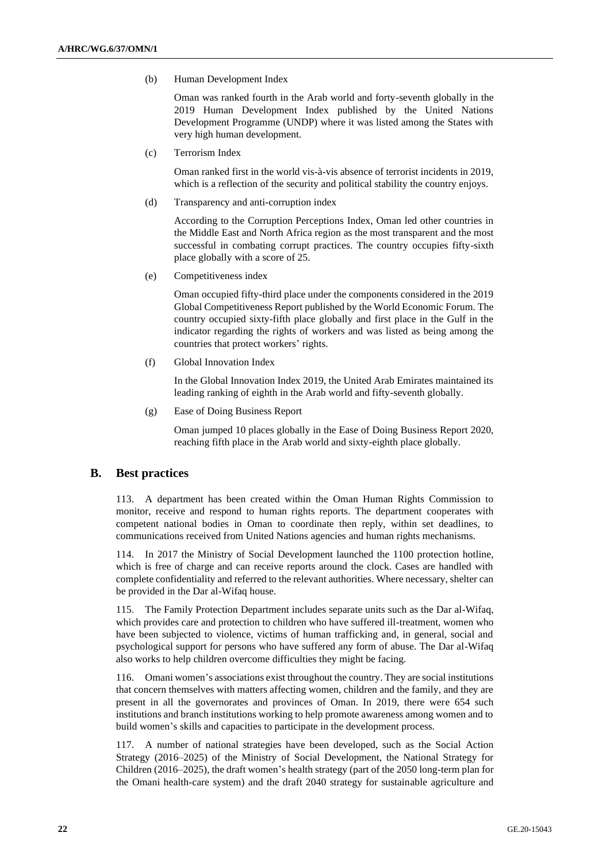(b) Human Development Index

Oman was ranked fourth in the Arab world and forty-seventh globally in the 2019 Human Development Index published by the United Nations Development Programme (UNDP) where it was listed among the States with very high human development.

(c) Terrorism Index

Oman ranked first in the world vis-à-vis absence of terrorist incidents in 2019, which is a reflection of the security and political stability the country enjoys.

(d) Transparency and anti-corruption index

According to the Corruption Perceptions Index, Oman led other countries in the Middle East and North Africa region as the most transparent and the most successful in combating corrupt practices. The country occupies fifty-sixth place globally with a score of 25.

(e) Competitiveness index

Oman occupied fifty-third place under the components considered in the 2019 Global Competitiveness Report published by the World Economic Forum. The country occupied sixty-fifth place globally and first place in the Gulf in the indicator regarding the rights of workers and was listed as being among the countries that protect workers' rights.

(f) Global Innovation Index

In the Global Innovation Index 2019, the United Arab Emirates maintained its leading ranking of eighth in the Arab world and fifty-seventh globally.

(g) Ease of Doing Business Report

Oman jumped 10 places globally in the Ease of Doing Business Report 2020, reaching fifth place in the Arab world and sixty-eighth place globally.

# **B. Best practices**

113. A department has been created within the Oman Human Rights Commission to monitor, receive and respond to human rights reports. The department cooperates with competent national bodies in Oman to coordinate then reply, within set deadlines, to communications received from United Nations agencies and human rights mechanisms.

114. In 2017 the Ministry of Social Development launched the 1100 protection hotline, which is free of charge and can receive reports around the clock. Cases are handled with complete confidentiality and referred to the relevant authorities. Where necessary, shelter can be provided in the Dar al-Wifaq house.

115. The Family Protection Department includes separate units such as the Dar al-Wifaq, which provides care and protection to children who have suffered ill-treatment, women who have been subjected to violence, victims of human trafficking and, in general, social and psychological support for persons who have suffered any form of abuse. The Dar al-Wifaq also works to help children overcome difficulties they might be facing.

116. Omani women's associations exist throughout the country. They are social institutions that concern themselves with matters affecting women, children and the family, and they are present in all the governorates and provinces of Oman. In 2019, there were 654 such institutions and branch institutions working to help promote awareness among women and to build women's skills and capacities to participate in the development process.

117. A number of national strategies have been developed, such as the Social Action Strategy (2016–2025) of the Ministry of Social Development, the National Strategy for Children (2016–2025), the draft women's health strategy (part of the 2050 long-term plan for the Omani health-care system) and the draft 2040 strategy for sustainable agriculture and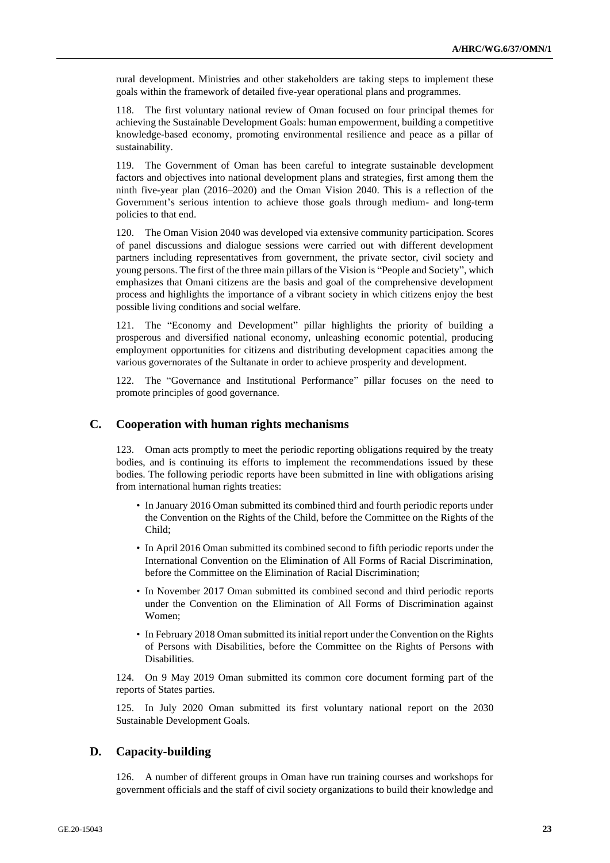rural development. Ministries and other stakeholders are taking steps to implement these goals within the framework of detailed five-year operational plans and programmes.

118. The first voluntary national review of Oman focused on four principal themes for achieving the Sustainable Development Goals: human empowerment, building a competitive knowledge-based economy, promoting environmental resilience and peace as a pillar of sustainability.

119. The Government of Oman has been careful to integrate sustainable development factors and objectives into national development plans and strategies, first among them the ninth five-year plan (2016–2020) and the Oman Vision 2040. This is a reflection of the Government's serious intention to achieve those goals through medium- and long-term policies to that end.

120. The Oman Vision 2040 was developed via extensive community participation. Scores of panel discussions and dialogue sessions were carried out with different development partners including representatives from government, the private sector, civil society and young persons. The first of the three main pillars of the Vision is "People and Society", which emphasizes that Omani citizens are the basis and goal of the comprehensive development process and highlights the importance of a vibrant society in which citizens enjoy the best possible living conditions and social welfare.

121. The "Economy and Development" pillar highlights the priority of building a prosperous and diversified national economy, unleashing economic potential, producing employment opportunities for citizens and distributing development capacities among the various governorates of the Sultanate in order to achieve prosperity and development.

122. The "Governance and Institutional Performance" pillar focuses on the need to promote principles of good governance.

# **C. Cooperation with human rights mechanisms**

123. Oman acts promptly to meet the periodic reporting obligations required by the treaty bodies, and is continuing its efforts to implement the recommendations issued by these bodies. The following periodic reports have been submitted in line with obligations arising from international human rights treaties:

- In January 2016 Oman submitted its combined third and fourth periodic reports under the Convention on the Rights of the Child, before the Committee on the Rights of the Child;
- In April 2016 Oman submitted its combined second to fifth periodic reports under the International Convention on the Elimination of All Forms of Racial Discrimination, before the Committee on the Elimination of Racial Discrimination;
- In November 2017 Oman submitted its combined second and third periodic reports under the Convention on the Elimination of All Forms of Discrimination against Women;
- In February 2018 Oman submitted its initial report under the Convention on the Rights of Persons with Disabilities, before the Committee on the Rights of Persons with Disabilities.

124. On 9 May 2019 Oman submitted its common core document forming part of the reports of States parties.

125. In July 2020 Oman submitted its first voluntary national report on the 2030 Sustainable Development Goals.

## **D. Capacity-building**

126. A number of different groups in Oman have run training courses and workshops for government officials and the staff of civil society organizations to build their knowledge and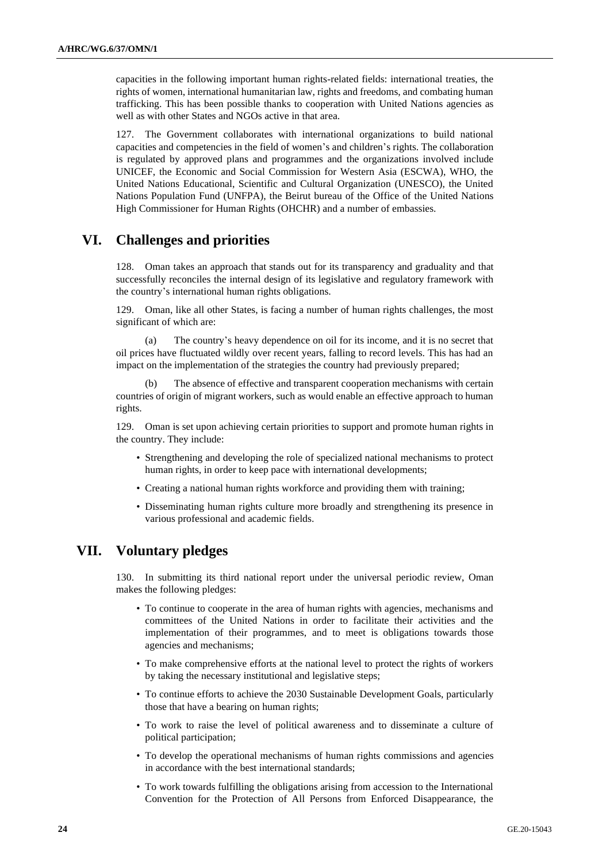capacities in the following important human rights-related fields: international treaties, the rights of women, international humanitarian law, rights and freedoms, and combating human trafficking. This has been possible thanks to cooperation with United Nations agencies as well as with other States and NGOs active in that area.

127. The Government collaborates with international organizations to build national capacities and competencies in the field of women's and children's rights. The collaboration is regulated by approved plans and programmes and the organizations involved include UNICEF, the Economic and Social Commission for Western Asia (ESCWA), WHO, the United Nations Educational, Scientific and Cultural Organization (UNESCO), the United Nations Population Fund (UNFPA), the Beirut bureau of the Office of the United Nations High Commissioner for Human Rights (OHCHR) and a number of embassies.

# **VI. Challenges and priorities**

128. Oman takes an approach that stands out for its transparency and graduality and that successfully reconciles the internal design of its legislative and regulatory framework with the country's international human rights obligations.

129. Oman, like all other States, is facing a number of human rights challenges, the most significant of which are:

(a) The country's heavy dependence on oil for its income, and it is no secret that oil prices have fluctuated wildly over recent years, falling to record levels. This has had an impact on the implementation of the strategies the country had previously prepared;

(b) The absence of effective and transparent cooperation mechanisms with certain countries of origin of migrant workers, such as would enable an effective approach to human rights.

129. Oman is set upon achieving certain priorities to support and promote human rights in the country. They include:

- Strengthening and developing the role of specialized national mechanisms to protect human rights, in order to keep pace with international developments;
- Creating a national human rights workforce and providing them with training;
- Disseminating human rights culture more broadly and strengthening its presence in various professional and academic fields.

# **VII. Voluntary pledges**

130. In submitting its third national report under the universal periodic review, Oman makes the following pledges:

- To continue to cooperate in the area of human rights with agencies, mechanisms and committees of the United Nations in order to facilitate their activities and the implementation of their programmes, and to meet is obligations towards those agencies and mechanisms;
- To make comprehensive efforts at the national level to protect the rights of workers by taking the necessary institutional and legislative steps;
- To continue efforts to achieve the 2030 Sustainable Development Goals, particularly those that have a bearing on human rights;
- To work to raise the level of political awareness and to disseminate a culture of political participation;
- To develop the operational mechanisms of human rights commissions and agencies in accordance with the best international standards;
- To work towards fulfilling the obligations arising from accession to the International Convention for the Protection of All Persons from Enforced Disappearance, the